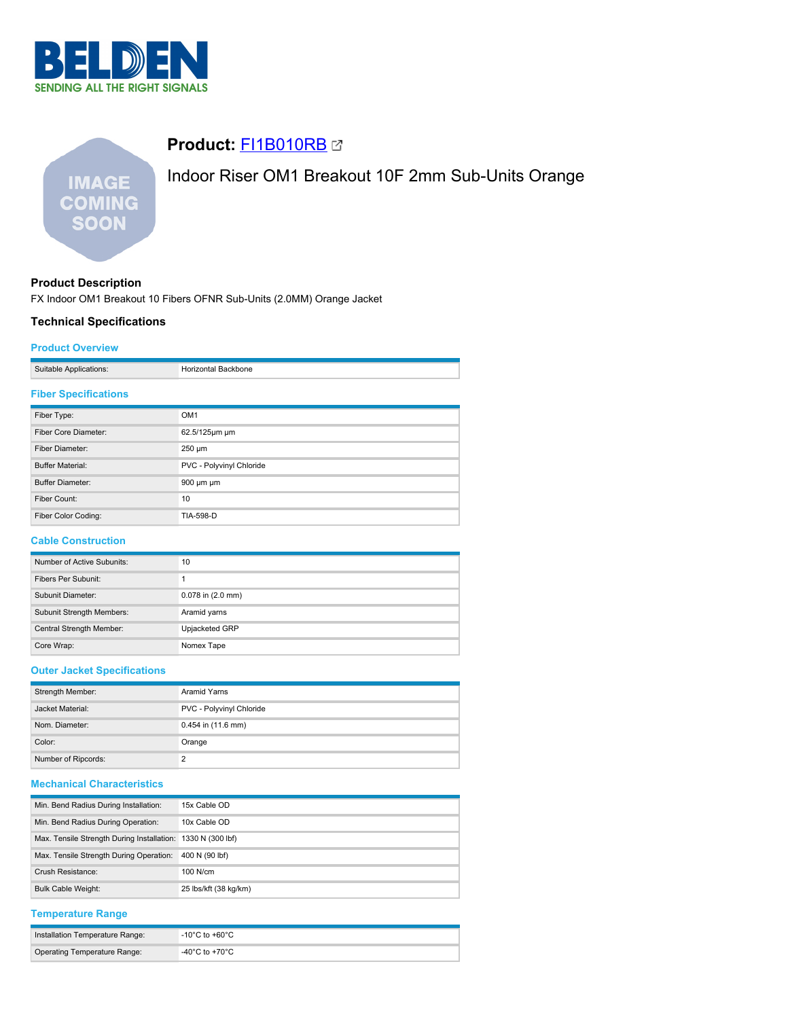

# **IMAGE COMING SOON**

## **Product:** [FI1B010RB](https://catalog.belden.com/index.cfm?event=pd&p=PF_FI1B010RB&tab=downloads)

# Indoor Riser OM1 Breakout 10F 2mm Sub-Units Orange

## **Product Description**

FX Indoor OM1 Breakout 10 Fibers OFNR Sub-Units (2.0MM) Orange Jacket

### **Technical Specifications**

#### **Product Overview**

| plications:<br>$\sim$ contable $\sim$ |  |
|---------------------------------------|--|

#### **Fiber Specifications**

| Fiber Type:             | OM <sub>1</sub>          |  |
|-------------------------|--------------------------|--|
| Fiber Core Diameter:    | 62.5/125µm µm            |  |
| Fiber Diameter:         | $250 \mu m$              |  |
| <b>Buffer Material:</b> | PVC - Polyvinyl Chloride |  |
| <b>Buffer Diameter:</b> | $900 \mu m \mu m$        |  |
| Fiber Count:            | 10                       |  |
| Fiber Color Coding:     | TIA-598-D                |  |

#### **Cable Construction**

| Number of Active Subunits: | 10                    |
|----------------------------|-----------------------|
| Fibers Per Subunit:        |                       |
| Subunit Diameter:          | $0.078$ in $(2.0$ mm) |
| Subunit Strength Members:  | Aramid yarns          |
| Central Strength Member:   | Upjacketed GRP        |
| Core Wrap:                 | Nomex Tape            |

### **Outer Jacket Specifications**

| Strength Member:    | Aramid Yarns             |  |
|---------------------|--------------------------|--|
| Jacket Material:    | PVC - Polyvinyl Chloride |  |
|                     |                          |  |
| Nom. Diameter:      | 0.454 in (11.6 mm)       |  |
|                     |                          |  |
| Color:              | Orange                   |  |
| Number of Ripcords: | っ                        |  |

#### **Mechanical Characteristics**

| Min. Bend Radius During Installation:                       | 15x Cable OD          |
|-------------------------------------------------------------|-----------------------|
| Min. Bend Radius During Operation:                          | 10x Cable OD          |
| Max. Tensile Strength During Installation: 1330 N (300 lbf) |                       |
| Max. Tensile Strength During Operation:                     | 400 N (90 lbf)        |
| Crush Resistance:                                           | $100$ N/cm            |
| <b>Bulk Cable Weight:</b>                                   | 25 lbs/kft (38 kg/km) |

#### **Temperature Range**

| Installation Temperature Range: | $^{\circ}$ -10°C to +60°C $^{\circ}$ |
|---------------------------------|--------------------------------------|
| Operating Temperature Range:    | -40 $^{\circ}$ C to +70 $^{\circ}$ C |